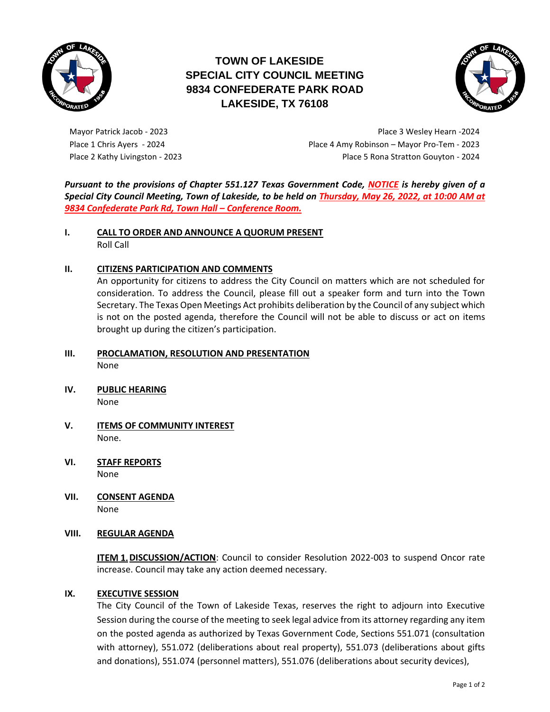

# **TOWN OF LAKESIDE SPECIAL CITY COUNCIL MEETING 9834 CONFEDERATE PARK ROAD LAKESIDE, TX 76108**



Mayor Patrick Jacob - 2023 **Place 3 Wesley Hearn -2024** Place 3 Wesley Hearn -2024 Place 1 Chris Ayers - 2024 Place 4 Amy Robinson – Mayor Pro-Tem - 2023 Place 2 Kathy Livingston - 2023 Place 5 Rona Stratton Gouyton - 2024

*Pursuant to the provisions of Chapter 551.127 Texas Government Code, NOTICE is hereby given of a Special City Council Meeting, Town of Lakeside, to be held on Thursday, May 26, 2022, at 10:00 AM at 9834 Confederate Park Rd, Town Hall – Conference Room.*

**I. CALL TO ORDER AND ANNOUNCE A QUORUM PRESENT** Roll Call

# **II. CITIZENS PARTICIPATION AND COMMENTS**

An opportunity for citizens to address the City Council on matters which are not scheduled for consideration. To address the Council, please fill out a speaker form and turn into the Town Secretary. The Texas Open Meetings Act prohibits deliberation by the Council of any subject which is not on the posted agenda, therefore the Council will not be able to discuss or act on items brought up during the citizen's participation.

- **III. PROCLAMATION, RESOLUTION AND PRESENTATION** None
- **IV. PUBLIC HEARING** None
- **V. ITEMS OF COMMUNITY INTEREST** None.
- **VI. STAFF REPORTS** None
- **VII. CONSENT AGENDA** None

## **VIII. REGULAR AGENDA**

**ITEM 1. DISCUSSION/ACTION:** Council to consider Resolution 2022-003 to suspend Oncor rate increase. Council may take any action deemed necessary.

## **IX. EXECUTIVE SESSION**

The City Council of the Town of Lakeside Texas, reserves the right to adjourn into Executive Session during the course of the meeting to seek legal advice from its attorney regarding any item on the posted agenda as authorized by Texas Government Code, Sections 551.071 (consultation with attorney), 551.072 (deliberations about real property), 551.073 (deliberations about gifts and donations), 551.074 (personnel matters), 551.076 (deliberations about security devices),